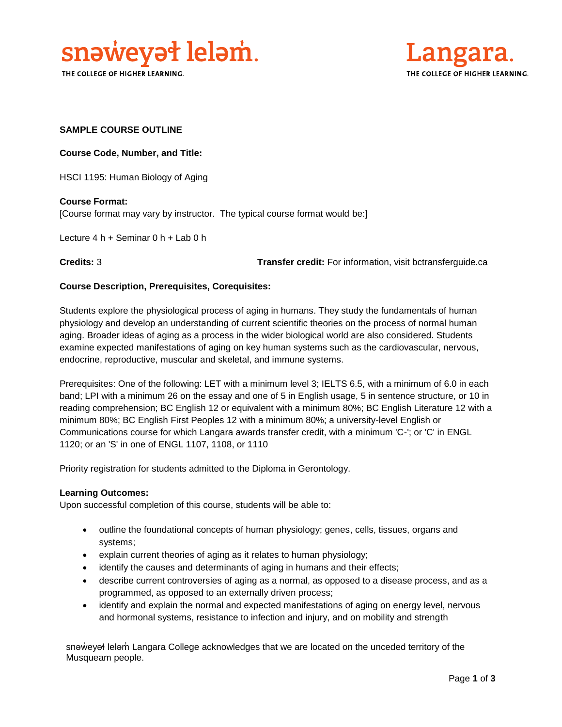

THE COLLEGE OF HIGHER LEARNING.



### **SAMPLE COURSE OUTLINE**

**Course Code, Number, and Title:**

HSCI 1195: Human Biology of Aging

**Course Format:** [Course format may vary by instructor. The typical course format would be:]

Lecture 4 h + Seminar 0 h + Lab 0 h

**Credits:** 3 **Transfer credit:** For information, visit bctransferguide.ca

#### **Course Description, Prerequisites, Corequisites:**

Students explore the physiological process of aging in humans. They study the fundamentals of human physiology and develop an understanding of current scientific theories on the process of normal human aging. Broader ideas of aging as a process in the wider biological world are also considered. Students examine expected manifestations of aging on key human systems such as the cardiovascular, nervous, endocrine, reproductive, muscular and skeletal, and immune systems.

Prerequisites: One of the following: LET with a minimum level 3; IELTS 6.5, with a minimum of 6.0 in each band; LPI with a minimum 26 on the essay and one of 5 in English usage, 5 in sentence structure, or 10 in reading comprehension; BC English 12 or equivalent with a minimum 80%; BC English Literature 12 with a minimum 80%; BC English First Peoples 12 with a minimum 80%; a university-level English or Communications course for which Langara awards transfer credit, with a minimum 'C-'; or 'C' in ENGL 1120; or an 'S' in one of ENGL 1107, 1108, or 1110

Priority registration for students admitted to the Diploma in Gerontology.

#### **Learning Outcomes:**

Upon successful completion of this course, students will be able to:

- outline the foundational concepts of human physiology; genes, cells, tissues, organs and systems;
- explain current theories of aging as it relates to human physiology;
- identify the causes and determinants of aging in humans and their effects;
- describe current controversies of aging as a normal, as opposed to a disease process, and as a programmed, as opposed to an externally driven process;
- identify and explain the normal and expected manifestations of aging on energy level, nervous and hormonal systems, resistance to infection and injury, and on mobility and strength

snəweyał leləm Langara College acknowledges that we are located on the unceded territory of the Musqueam people.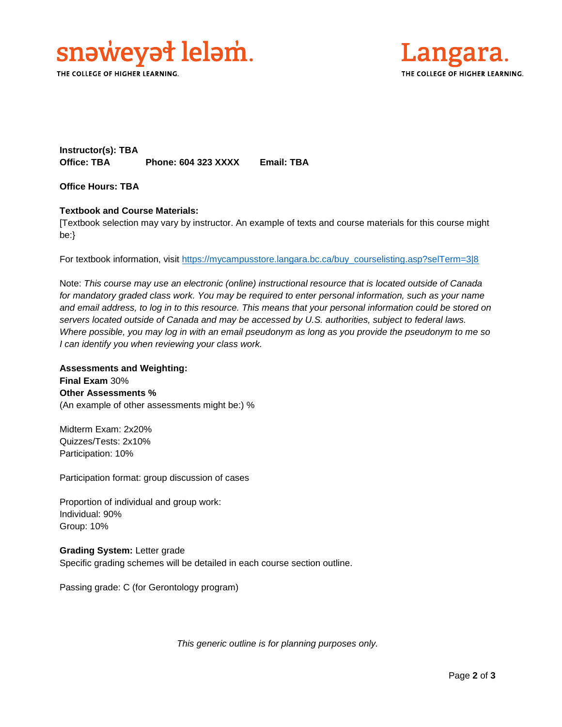

THE COLLEGE OF HIGHER LEARNING.



**Instructor(s): TBA Office: TBA Phone: 604 323 XXXX Email: TBA**

**Office Hours: TBA** 

#### **Textbook and Course Materials:**

[Textbook selection may vary by instructor. An example of texts and course materials for this course might be:}

For textbook information, visit [https://mycampusstore.langara.bc.ca/buy\\_courselisting.asp?selTerm=3|8](https://mycampusstore.langara.bc.ca/buy_courselisting.asp?selTerm=3|8)

Note: *This course may use an electronic (online) instructional resource that is located outside of Canada*  for mandatory graded class work. You may be required to enter personal information, such as your name *and email address, to log in to this resource. This means that your personal information could be stored on servers located outside of Canada and may be accessed by U.S. authorities, subject to federal laws. Where possible, you may log in with an email pseudonym as long as you provide the pseudonym to me so I can identify you when reviewing your class work.* 

**Assessments and Weighting: Final Exam** 30% **Other Assessments %** (An example of other assessments might be:) %

Midterm Exam: 2x20% Quizzes/Tests: 2x10% Participation: 10%

Participation format: group discussion of cases

Proportion of individual and group work: Individual: 90% Group: 10%

**Grading System:** Letter grade Specific grading schemes will be detailed in each course section outline.

Passing grade: C (for Gerontology program)

*This generic outline is for planning purposes only.*